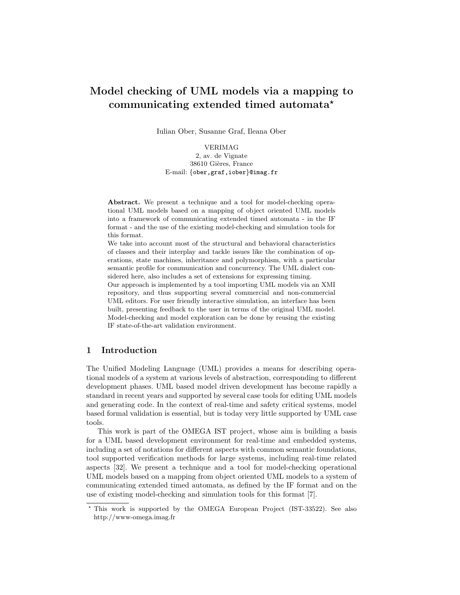# Model checking of UML models via a mapping to communicating extended timed automata?

Iulian Ober, Susanne Graf, Ileana Ober

VERIMAG 2, av. de Vignate 38610 Gières, France E-mail: {ober,graf,iober}@imag.fr

Abstract. We present a technique and a tool for model-checking operational UML models based on a mapping of object oriented UML models into a framework of communicating extended timed automata - in the IF format - and the use of the existing model-checking and simulation tools for this format.

We take into account most of the structural and behavioral characteristics of classes and their interplay and tackle issues like the combination of operations, state machines, inheritance and polymorphism, with a particular semantic profile for communication and concurrency. The UML dialect considered here, also includes a set of extensions for expressing timing.

Our approach is implemented by a tool importing UML models via an XMI repository, and thus supporting several commercial and non-commercial UML editors. For user friendly interactive simulation, an interface has been built, presenting feedback to the user in terms of the original UML model. Model-checking and model exploration can be done by reusing the existing IF state-of-the-art validation environment.

## 1 Introduction

The Unified Modeling Language (UML) provides a means for describing operational models of a system at various levels of abstraction, corresponding to different development phases. UML based model driven development has become rapidly a standard in recent years and supported by several case tools for editing UML models and generating code. In the context of real-time and safety critical systems, model based formal validation is essential, but is today very little supported by UML case tools.

This work is part of the OMEGA IST project, whose aim is building a basis for a UML based development environment for real-time and embedded systems, including a set of notations for different aspects with common semantic foundations, tool supported verification methods for large systems, including real-time related aspects [32]. We present a technique and a tool for model-checking operational UML models based on a mapping from object oriented UML models to a system of communicating extended timed automata, as defined by the IF format and on the use of existing model-checking and simulation tools for this format [7].

<sup>?</sup> This work is supported by the OMEGA European Project (IST-33522). See also http://www-omega.imag.fr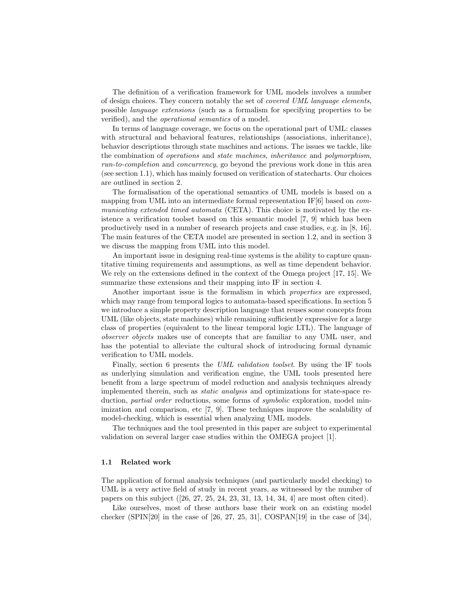The definition of a verification framework for UML models involves a number of design choices. They concern notably the set of covered UML language elements, possible language extensions (such as a formalism for specifying properties to be verified), and the operational semantics of a model.

In terms of language coverage, we focus on the operational part of UML: classes with structural and behavioral features, relationships (associations, inheritance), behavior descriptions through state machines and actions. The issues we tackle, like the combination of operations and state machines, inheritance and polymorphism, run-to-completion and concurrency, go beyond the previous work done in this area (see section 1.1), which has mainly focused on verification of statecharts. Our choices are outlined in section 2.

The formalisation of the operational semantics of UML models is based on a mapping from UML into an intermediate formal representation  $IF[6]$  based on *com*municating extended timed automata (CETA). This choice is motivated by the existence a verification toolset based on this semantic model [7, 9] which has been productively used in a number of research projects and case studies, e.g. in [8, 16]. The main features of the CETA model are presented in section 1.2, and in section 3 we discuss the mapping from UML into this model.

An important issue in designing real-time systems is the ability to capture quantitative timing requirements and assumptions, as well as time dependent behavior. We rely on the extensions defined in the context of the Omega project [17, 15]. We summarize these extensions and their mapping into IF in section 4.

Another important issue is the formalism in which *properties* are expressed. which may range from temporal logics to automata-based specifications. In section 5 we introduce a simple property description language that reuses some concepts from UML (like objects, state machines) while remaining sufficiently expressive for a large class of properties (equivalent to the linear temporal logic LTL). The language of observer objects makes use of concepts that are familiar to any UML user, and has the potential to alleviate the cultural shock of introducing formal dynamic verification to UML models.

Finally, section 6 presents the UML validation toolset. By using the IF tools as underlying simulation and verification engine, the UML tools presented here benefit from a large spectrum of model reduction and analysis techniques already implemented therein, such as static analysis and optimizations for state-space reduction, partial order reductions, some forms of *symbolic* exploration, model minimization and comparison, etc [7, 9]. These techniques improve the scalability of model-checking, which is essential when analyzing UML models.

The techniques and the tool presented in this paper are subject to experimental validation on several larger case studies within the OMEGA project [1].

#### 1.1 Related work

The application of formal analysis techniques (and particularly model checking) to UML is a very active field of study in recent years, as witnessed by the number of papers on this subject ([26, 27, 25, 24, 23, 31, 13, 14, 34, 4] are most often cited).

Like ourselves, most of these authors base their work on an existing model checker (SPIN[20] in the case of [26, 27, 25, 31], COSPAN[19] in the case of [34],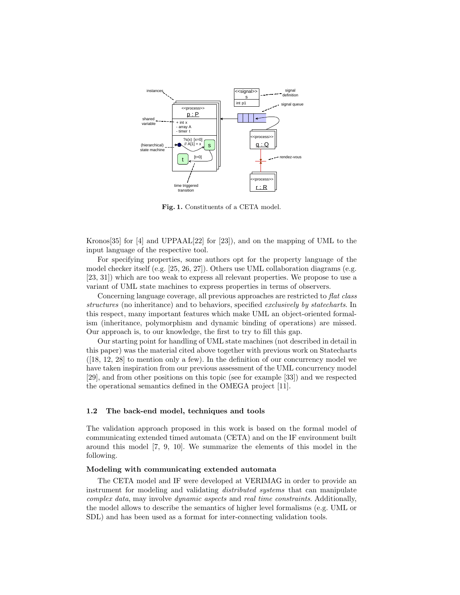

Fig. 1. Constituents of a CETA model.

Kronos[35] for [4] and UPPAAL[22] for [23]), and on the mapping of UML to the input language of the respective tool.

For specifying properties, some authors opt for the property language of the model checker itself (e.g. [25, 26, 27]). Others use UML collaboration diagrams (e.g. [23, 31]) which are too weak to express all relevant properties. We propose to use a variant of UML state machines to express properties in terms of observers.

Concerning language coverage, all previous approaches are restricted to flat class structures (no inheritance) and to behaviors, specified exclusively by statecharts. In this respect, many important features which make UML an object-oriented formalism (inheritance, polymorphism and dynamic binding of operations) are missed. Our approach is, to our knowledge, the first to try to fill this gap.

Our starting point for handling of UML state machines (not described in detail in this paper) was the material cited above together with previous work on Statecharts ([18, 12, 28] to mention only a few). In the definition of our concurrency model we have taken inspiration from our previous assessment of the UML concurrency model [29], and from other positions on this topic (see for example [33]) and we respected the operational semantics defined in the OMEGA project [11].

## 1.2 The back-end model, techniques and tools

The validation approach proposed in this work is based on the formal model of communicating extended timed automata (CETA) and on the IF environment built around this model [7, 9, 10]. We summarize the elements of this model in the following.

#### Modeling with communicating extended automata

The CETA model and IF were developed at VERIMAG in order to provide an instrument for modeling and validating *distributed systems* that can manipulate complex data, may involve dynamic aspects and real time constraints. Additionally, the model allows to describe the semantics of higher level formalisms (e.g. UML or SDL) and has been used as a format for inter-connecting validation tools.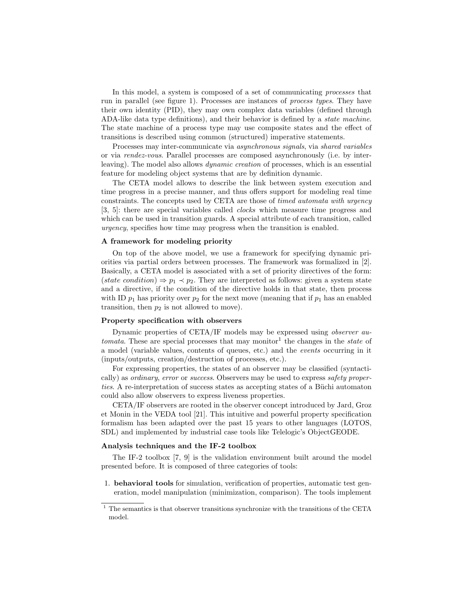In this model, a system is composed of a set of communicating processes that run in parallel (see figure 1). Processes are instances of process types. They have their own identity (PID), they may own complex data variables (defined through ADA-like data type definitions), and their behavior is defined by a state machine. The state machine of a process type may use composite states and the effect of transitions is described using common (structured) imperative statements.

Processes may inter-communicate via asynchronous signals, via shared variables or via rendez-vous. Parallel processes are composed asynchronously (i.e. by interleaving). The model also allows dynamic creation of processes, which is an essential feature for modeling object systems that are by definition dynamic.

The CETA model allows to describe the link between system execution and time progress in a precise manner, and thus offers support for modeling real time constraints. The concepts used by CETA are those of timed automata with urgency [3, 5]: there are special variables called clocks which measure time progress and which can be used in transition guards. A special attribute of each transition, called urgency, specifies how time may progress when the transition is enabled.

#### A framework for modeling priority

On top of the above model, we use a framework for specifying dynamic priorities via partial orders between processes. The framework was formalized in [2]. Basically, a CETA model is associated with a set of priority directives of the form: (state condition)  $\Rightarrow$   $p_1 \prec p_2$ . They are interpreted as follows: given a system state and a directive, if the condition of the directive holds in that state, then process with ID  $p_1$  has priority over  $p_2$  for the next move (meaning that if  $p_1$  has an enabled transition, then  $p_2$  is not allowed to move).

## Property specification with observers

Dynamic properties of CETA/IF models may be expressed using observer au $tomata$ . These are special processes that may monitor<sup>1</sup> the changes in the *state* of a model (variable values, contents of queues, etc.) and the events occurring in it (inputs/outputs, creation/destruction of processes, etc.).

For expressing properties, the states of an observer may be classified (syntactically) as ordinary, error or success. Observers may be used to express safety properties. A re-interpretation of success states as accepting states of a Büchi automaton could also allow observers to express liveness properties.

CETA/IF observers are rooted in the observer concept introduced by Jard, Groz et Monin in the VEDA tool [21]. This intuitive and powerful property specification formalism has been adapted over the past 15 years to other languages (LOTOS, SDL) and implemented by industrial case tools like Telelogic's ObjectGEODE.

## Analysis techniques and the IF-2 toolbox

The IF-2 toolbox [7, 9] is the validation environment built around the model presented before. It is composed of three categories of tools:

1. behavioral tools for simulation, verification of properties, automatic test generation, model manipulation (minimization, comparison). The tools implement

 $^{\rm 1}$  The semantics is that observer transitions synchronize with the transitions of the CETA model.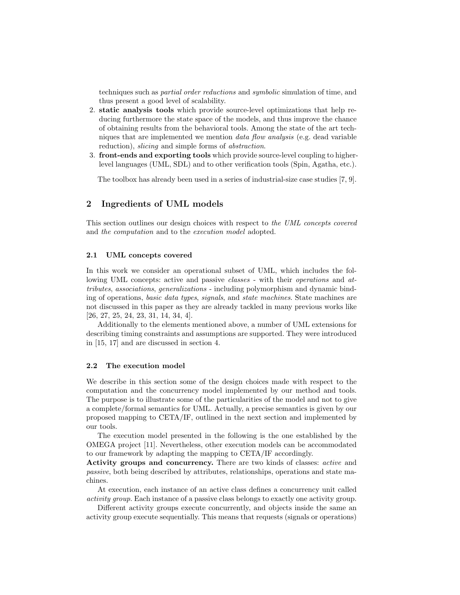techniques such as partial order reductions and symbolic simulation of time, and thus present a good level of scalability.

- 2. static analysis tools which provide source-level optimizations that help reducing furthermore the state space of the models, and thus improve the chance of obtaining results from the behavioral tools. Among the state of the art techniques that are implemented we mention data flow analysis (e.g. dead variable reduction), *slicing* and simple forms of *abstraction*.
- 3. front-ends and exporting tools which provide source-level coupling to higherlevel languages (UML, SDL) and to other verification tools (Spin, Agatha, etc.).

The toolbox has already been used in a series of industrial-size case studies [7, 9].

## 2 Ingredients of UML models

This section outlines our design choices with respect to the UML concepts covered and the computation and to the execution model adopted.

## 2.1 UML concepts covered

In this work we consider an operational subset of UML, which includes the following UML concepts: active and passive *classes* - with their *operations* and *at*tributes, associations, generalizations - including polymorphism and dynamic binding of operations, basic data types, signals, and state machines. State machines are not discussed in this paper as they are already tackled in many previous works like [26, 27, 25, 24, 23, 31, 14, 34, 4].

Additionally to the elements mentioned above, a number of UML extensions for describing timing constraints and assumptions are supported. They were introduced in [15, 17] and are discussed in section 4.

#### 2.2 The execution model

We describe in this section some of the design choices made with respect to the computation and the concurrency model implemented by our method and tools. The purpose is to illustrate some of the particularities of the model and not to give a complete/formal semantics for UML. Actually, a precise semantics is given by our proposed mapping to CETA/IF, outlined in the next section and implemented by our tools.

The execution model presented in the following is the one established by the OMEGA project [11]. Nevertheless, other execution models can be accommodated to our framework by adapting the mapping to CETA/IF accordingly.

Activity groups and concurrency. There are two kinds of classes: active and passive, both being described by attributes, relationships, operations and state machines.

At execution, each instance of an active class defines a concurrency unit called activity group. Each instance of a passive class belongs to exactly one activity group.

Different activity groups execute concurrently, and objects inside the same an activity group execute sequentially. This means that requests (signals or operations)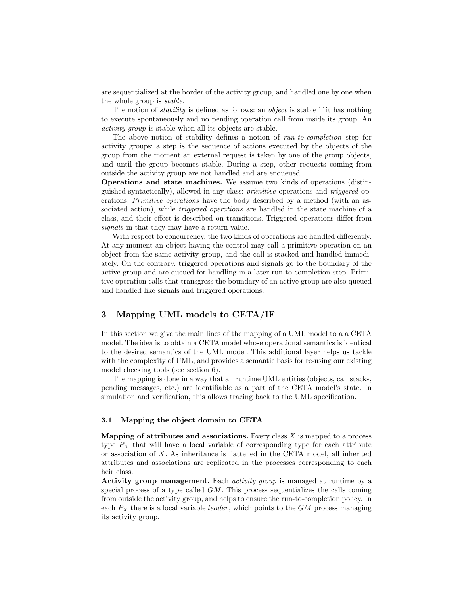are sequentialized at the border of the activity group, and handled one by one when the whole group is stable.

The notion of *stability* is defined as follows: an *object* is stable if it has nothing to execute spontaneously and no pending operation call from inside its group. An activity group is stable when all its objects are stable.

The above notion of stability defines a notion of run-to-completion step for activity groups: a step is the sequence of actions executed by the objects of the group from the moment an external request is taken by one of the group objects, and until the group becomes stable. During a step, other requests coming from outside the activity group are not handled and are enqueued.

Operations and state machines. We assume two kinds of operations (distinguished syntactically), allowed in any class: primitive operations and triggered operations. *Primitive operations* have the body described by a method (with an associated action), while *triggered operations* are handled in the state machine of a class, and their effect is described on transitions. Triggered operations differ from signals in that they may have a return value.

With respect to concurrency, the two kinds of operations are handled differently. At any moment an object having the control may call a primitive operation on an object from the same activity group, and the call is stacked and handled immediately. On the contrary, triggered operations and signals go to the boundary of the active group and are queued for handling in a later run-to-completion step. Primitive operation calls that transgress the boundary of an active group are also queued and handled like signals and triggered operations.

# 3 Mapping UML models to CETA/IF

In this section we give the main lines of the mapping of a UML model to a a CETA model. The idea is to obtain a CETA model whose operational semantics is identical to the desired semantics of the UML model. This additional layer helps us tackle with the complexity of UML, and provides a semantic basis for re-using our existing model checking tools (see section 6).

The mapping is done in a way that all runtime UML entities (objects, call stacks, pending messages, etc.) are identifiable as a part of the CETA model's state. In simulation and verification, this allows tracing back to the UML specification.

#### 3.1 Mapping the object domain to CETA

**Mapping of attributes and associations.** Every class  $X$  is mapped to a process type  $P_X$  that will have a local variable of corresponding type for each attribute or association of X. As inheritance is flattened in the CETA model, all inherited attributes and associations are replicated in the processes corresponding to each heir class.

Activity group management. Each activity group is managed at runtime by a special process of a type called  $GM$ . This process sequentializes the calls coming from outside the activity group, and helps to ensure the run-to-completion policy. In each  $P_X$  there is a local variable *leader*, which points to the  $GM$  process managing its activity group.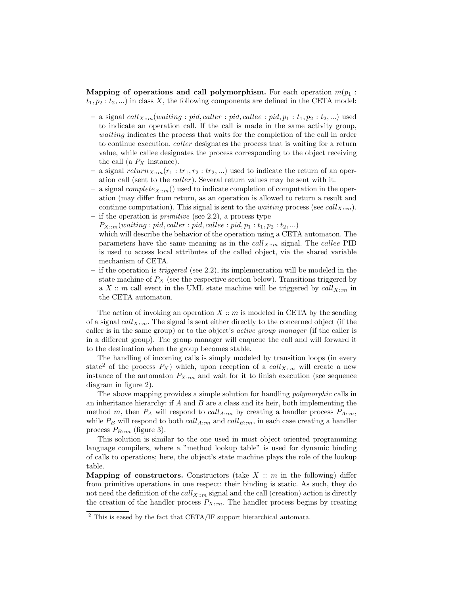Mapping of operations and call polymorphism. For each operation  $m(p_1)$ :  $t_1, p_2 : t_2, \ldots$  in class X, the following components are defined in the CETA model:

- a signal  $call_{X::m}(waiting: pid, caller: pid, called: pid, p_1 : t_1, p_2 : t_2, ...)$  used to indicate an operation call. If the call is made in the same activity group, waiting indicates the process that waits for the completion of the call in order to continue execution. caller designates the process that is waiting for a return value, while callee designates the process corresponding to the object receiving the call (a  $P_X$  instance).
- a signal  $return_{X::m}(r_1 : tr_1, r_2 : tr_2, ...)$  used to indicate the return of an operation call (sent to the caller). Several return values may be sent with it.
- a signal complete<sub>X::m</sub>() used to indicate completion of computation in the operation (may differ from return, as an operation is allowed to return a result and continue computation). This signal is sent to the *waiting* process (see  $call_{X::m}$ ).
- if the operation is *primitive* (see 2.2), a process type  $P_{X::m}(waiting: pid, caller: pid, caller: pid, p_1 : t_1, p_2 : t_2, ...)$ which will describe the behavior of the operation using a CETA automaton. The parameters have the same meaning as in the  $call_{X::m}$  signal. The *callee* PID is used to access local attributes of the called object, via the shared variable mechanism of CETA.
- if the operation is *triggered* (see 2.2), its implementation will be modeled in the state machine of  $P_X$  (see the respective section below). Transitions triggered by a X :: m call event in the UML state machine will be triggered by  $\text{call}_{X::m}$  in the CETA automaton.

The action of invoking an operation  $X:: m$  is modeled in CETA by the sending of a signal  $call_{X::m}$ . The signal is sent either directly to the concerned object (if the caller is in the same group) or to the object's *active group manager* (if the caller is in a different group). The group manager will enqueue the call and will forward it to the destination when the group becomes stable.

The handling of incoming calls is simply modeled by transition loops (in every state<sup>2</sup> of the process  $P_X$ ) which, upon reception of a call<sub>X::m</sub> will create a new instance of the automaton  $P_{X::m}$  and wait for it to finish execution (see sequence diagram in figure 2).

The above mapping provides a simple solution for handling *polymorphic* calls in an inheritance hierarchy: if  $A$  and  $B$  are a class and its heir, both implementing the method m, then  $P_A$  will respond to call<sub>A::m</sub> by creating a handler process  $P_{A::m}$ , while  $P_B$  will respond to both  $call_{A::m}$  and  $call_{B::m}$ , in each case creating a handler process  $P_{B::m}$  (figure 3).

This solution is similar to the one used in most object oriented programming language compilers, where a "method lookup table" is used for dynamic binding of calls to operations; here, the object's state machine plays the role of the lookup table.

**Mapping of constructors.** Constructors (take  $X :: m$  in the following) differ from primitive operations in one respect: their binding is static. As such, they do not need the definition of the  $call_{X::m}$  signal and the call (creation) action is directly the creation of the handler process  $P_{X::m}$ . The handler process begins by creating

 $^2$  This is eased by the fact that CETA/IF support hierarchical automata.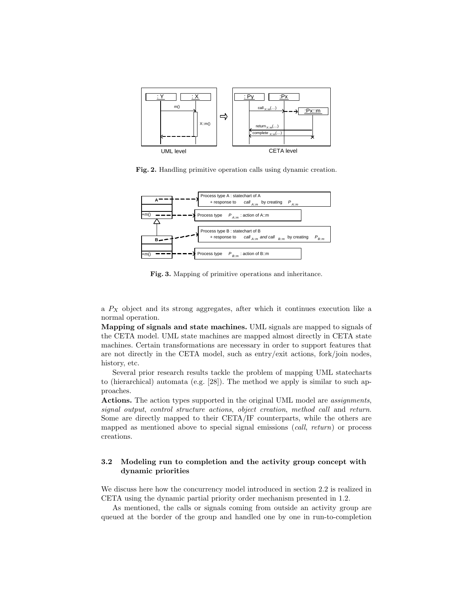

Fig. 2. Handling primitive operation calls using dynamic creation.



Fig. 3. Mapping of primitive operations and inheritance.

a  $P_X$  object and its strong aggregates, after which it continues execution like a normal operation.

Mapping of signals and state machines. UML signals are mapped to signals of the CETA model. UML state machines are mapped almost directly in CETA state machines. Certain transformations are necessary in order to support features that are not directly in the CETA model, such as entry/exit actions, fork/join nodes, history, etc.

Several prior research results tackle the problem of mapping UML statecharts to (hierarchical) automata (e.g.  $[28]$ ). The method we apply is similar to such approaches.

Actions. The action types supported in the original UML model are assignments, signal output, control structure actions, object creation, method call and return. Some are directly mapped to their CETA/IF counterparts, while the others are mapped as mentioned above to special signal emissions (call, return) or process creations.

## 3.2 Modeling run to completion and the activity group concept with dynamic priorities

We discuss here how the concurrency model introduced in section 2.2 is realized in CETA using the dynamic partial priority order mechanism presented in 1.2.

As mentioned, the calls or signals coming from outside an activity group are queued at the border of the group and handled one by one in run-to-completion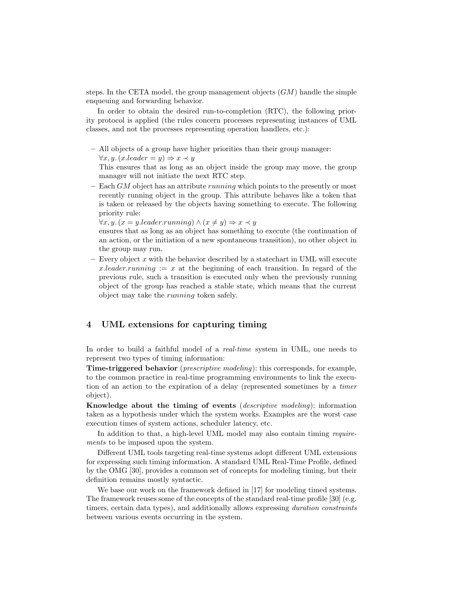steps. In the CETA model, the group management objects  $(GM)$  handle the simple enqueuing and forwarding behavior.

In order to obtain the desired run-to-completion (RTC), the following priority protocol is applied (the rules concern processes representing instances of UML classes, and not the processes representing operation handlers, etc.):

– All objects of a group have higher priorities than their group manager:  $\forall x, y \in (x \cdot leader = y) \Rightarrow x \prec y$ 

This ensures that as long as an object inside the group may move, the group manager will not initiate the next RTC step.

– Each  $GM$  object has an attribute *running* which points to the presently or most recently running object in the group. This attribute behaves like a token that is taken or released by the objects having something to execute. The following priority rule:

 $\forall x, y \in (x = y \cdot \text{leader} \cdot \text{running}) \land (x \neq y) \Rightarrow x \prec y$ 

ensures that as long as an object has something to execute (the continuation of an action, or the initiation of a new spontaneous transition), no other object in the group may run.

 $-$  Every object x with the behavior described by a state chart in UML will execute x.leader.running := x at the beginning of each transition. In regard of the previous rule, such a transition is executed only when the previously running object of the group has reached a stable state, which means that the current object may take the running token safely.

## 4 UML extensions for capturing timing

In order to build a faithful model of a real-time system in UML, one needs to represent two types of timing information:

Time-triggered behavior (prescriptive modeling): this corresponds, for example, to the common practice in real-time programming environments to link the execution of an action to the expiration of a delay (represented sometimes by a timer object).

Knowledge about the timing of events (descriptive modeling): information taken as a hypothesis under which the system works. Examples are the worst case execution times of system actions, scheduler latency, etc.

In addition to that, a high-level UML model may also contain timing *require*ments to be imposed upon the system.

Different UML tools targeting real-time systems adopt different UML extensions for expressing such timing information. A standard UML Real-Time Profile, defined by the OMG [30], provides a common set of concepts for modeling timing, but their definition remains mostly syntactic.

We base our work on the framework defined in [17] for modeling timed systems. The framework reuses some of the concepts of the standard real-time profile [30] (e.g. timers, certain data types), and additionally allows expressing duration constraints between various events occurring in the system.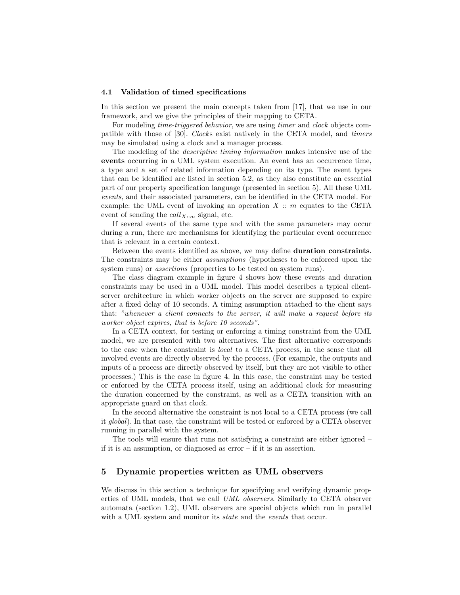#### 4.1 Validation of timed specifications

In this section we present the main concepts taken from [17], that we use in our framework, and we give the principles of their mapping to CETA.

For modeling time-triggered behavior, we are using timer and clock objects compatible with those of [30]. Clocks exist natively in the CETA model, and timers may be simulated using a clock and a manager process.

The modeling of the descriptive timing information makes intensive use of the events occurring in a UML system execution. An event has an occurrence time, a type and a set of related information depending on its type. The event types that can be identified are listed in section 5.2, as they also constitute an essential part of our property specification language (presented in section 5). All these UML events, and their associated parameters, can be identified in the CETA model. For example: the UML event of invoking an operation  $X :: m$  equates to the CETA event of sending the  $call_{X::m}$  signal, etc.

If several events of the same type and with the same parameters may occur during a run, there are mechanisms for identifying the particular event occurrence that is relevant in a certain context.

Between the events identified as above, we may define duration constraints. The constraints may be either assumptions (hypotheses to be enforced upon the system runs) or *assertions* (properties to be tested on system runs).

The class diagram example in figure 4 shows how these events and duration constraints may be used in a UML model. This model describes a typical clientserver architecture in which worker objects on the server are supposed to expire after a fixed delay of 10 seconds. A timing assumption attached to the client says that: "whenever a client connects to the server, it will make a request before its worker object expires, that is before 10 seconds".

In a CETA context, for testing or enforcing a timing constraint from the UML model, we are presented with two alternatives. The first alternative corresponds to the case when the constraint is local to a CETA process, in the sense that all involved events are directly observed by the process. (For example, the outputs and inputs of a process are directly observed by itself, but they are not visible to other processes.) This is the case in figure 4. In this case, the constraint may be tested or enforced by the CETA process itself, using an additional clock for measuring the duration concerned by the constraint, as well as a CETA transition with an appropriate guard on that clock.

In the second alternative the constraint is not local to a CETA process (we call it global). In that case, the constraint will be tested or enforced by a CETA observer running in parallel with the system.

The tools will ensure that runs not satisfying a constraint are either ignored – if it is an assumption, or diagnosed as error – if it is an assertion.

#### 5 Dynamic properties written as UML observers

We discuss in this section a technique for specifying and verifying dynamic properties of UML models, that we call UML observers. Similarly to CETA observer automata (section 1.2), UML observers are special objects which run in parallel with a UML system and monitor its *state* and the *events* that occur.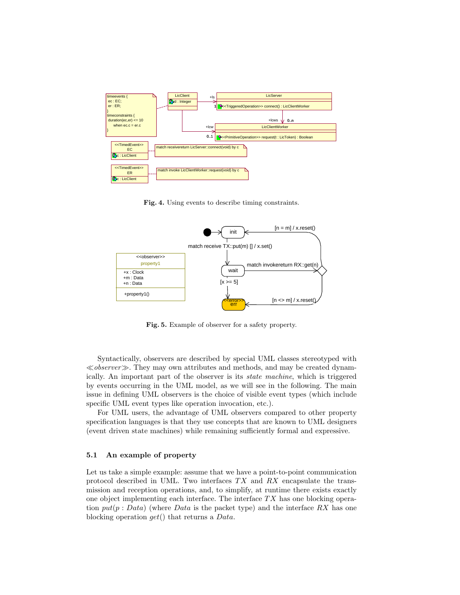

Fig. 4. Using events to describe timing constraints.



Fig. 5. Example of observer for a safety property.

Syntactically, observers are described by special UML classes stereotyped with  $\ll$ observer $\gg$ . They may own attributes and methods, and may be created dynamically. An important part of the observer is its state machine, which is triggered by events occurring in the UML model, as we will see in the following. The main issue in defining UML observers is the choice of visible event types (which include specific UML event types like operation invocation, etc.).

For UML users, the advantage of UML observers compared to other property specification languages is that they use concepts that are known to UML designers (event driven state machines) while remaining sufficiently formal and expressive.

#### 5.1 An example of property

Let us take a simple example: assume that we have a point-to-point communication protocol described in UML. Two interfaces  $TX$  and  $RX$  encapsulate the transmission and reception operations, and, to simplify, at runtime there exists exactly one object implementing each interface. The interface  $TX$  has one blocking operation  $put(p : Data)$  (where Data is the packet type) and the interface RX has one blocking operation  $get()$  that returns a Data.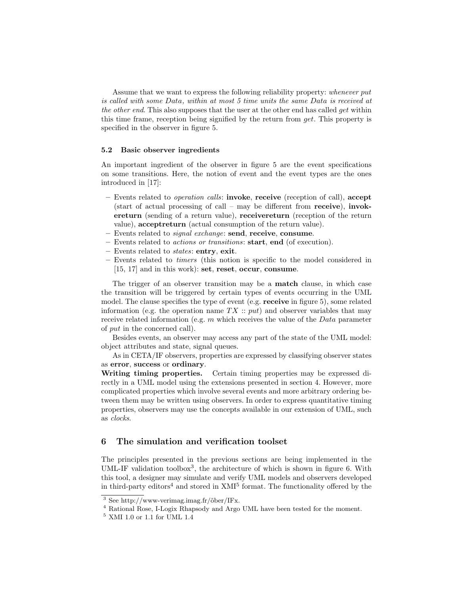Assume that we want to express the following reliability property: whenever put is called with some Data, within at most 5 time units the same Data is received at the other end. This also supposes that the user at the other end has called get within this time frame, reception being signified by the return from get. This property is specified in the observer in figure 5.

#### 5.2 Basic observer ingredients

An important ingredient of the observer in figure 5 are the event specifications on some transitions. Here, the notion of event and the event types are the ones introduced in [17]:

- Events related to operation calls: invoke, receive (reception of call), accept (start of actual processing of call – may be different from receive), invokereturn (sending of a return value), receivereturn (reception of the return value), acceptreturn (actual consumption of the return value).
- Events related to *signal exchange*: send, receive, consume.
- Events related to *actions or transitions*: **start**, end (of execution).
- Events related to *states*: **entry**, **exit**.
- Events related to timers (this notion is specific to the model considered in [15, 17] and in this work): set, reset, occur, consume.

The trigger of an observer transition may be a match clause, in which case the transition will be triggered by certain types of events occurring in the UML model. The clause specifies the type of event (e.g. receive in figure 5), some related information (e.g. the operation name  $TX::put$ ) and observer variables that may receive related information (e.g.  $m$  which receives the value of the  $Data$  parameter of put in the concerned call).

Besides events, an observer may access any part of the state of the UML model: object attributes and state, signal queues.

As in CETA/IF observers, properties are expressed by classifying observer states as error, success or ordinary.

Writing timing properties. Certain timing properties may be expressed directly in a UML model using the extensions presented in section 4. However, more complicated properties which involve several events and more arbitrary ordering between them may be written using observers. In order to express quantitative timing properties, observers may use the concepts available in our extension of UML, such as clocks.

# 6 The simulation and verification toolset

The principles presented in the previous sections are being implemented in the UML-IF validation toolbox<sup>3</sup>, the architecture of which is shown in figure 6. With this tool, a designer may simulate and verify UML models and observers developed in third-party editors<sup>4</sup> and stored in  $XML<sup>5</sup>$  format. The functionality offered by the

 $\frac{3}{3}$  See http://www-verimag.imag.fr/ $\delta$ ber/IFx.

<sup>4</sup> Rational Rose, I-Logix Rhapsody and Argo UML have been tested for the moment.

<sup>5</sup> XMI 1.0 or 1.1 for UML 1.4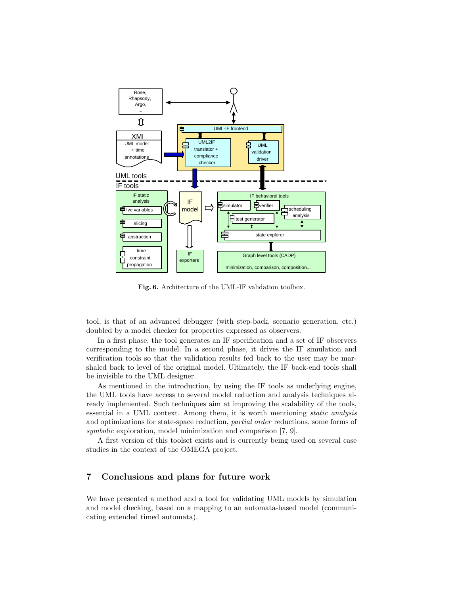

Fig. 6. Architecture of the UML-IF validation toolbox.

tool, is that of an advanced debugger (with step-back, scenario generation, etc.) doubled by a model checker for properties expressed as observers.

In a first phase, the tool generates an IF specification and a set of IF observers corresponding to the model. In a second phase, it drives the IF simulation and verification tools so that the validation results fed back to the user may be marshaled back to level of the original model. Ultimately, the IF back-end tools shall be invisible to the UML designer.

As mentioned in the introduction, by using the IF tools as underlying engine, the UML tools have access to several model reduction and analysis techniques already implemented. Such techniques aim at improving the scalability of the tools, essential in a UML context. Among them, it is worth mentioning static analysis and optimizations for state-space reduction, partial order reductions, some forms of symbolic exploration, model minimization and comparison [7, 9].

A first version of this toolset exists and is currently being used on several case studies in the context of the OMEGA project.

# 7 Conclusions and plans for future work

We have presented a method and a tool for validating UML models by simulation and model checking, based on a mapping to an automata-based model (communicating extended timed automata).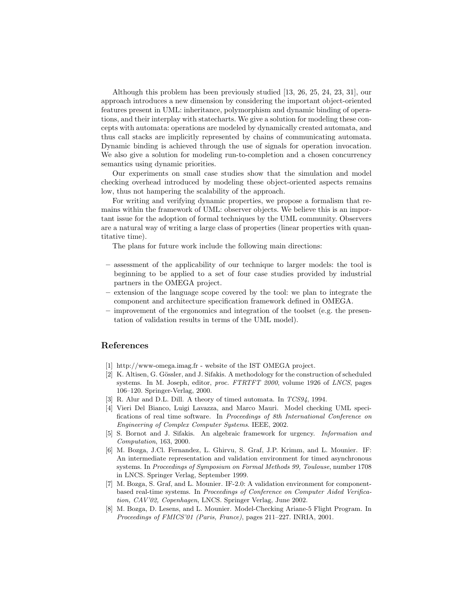Although this problem has been previously studied [13, 26, 25, 24, 23, 31], our approach introduces a new dimension by considering the important object-oriented features present in UML: inheritance, polymorphism and dynamic binding of operations, and their interplay with statecharts. We give a solution for modeling these concepts with automata: operations are modeled by dynamically created automata, and thus call stacks are implicitly represented by chains of communicating automata. Dynamic binding is achieved through the use of signals for operation invocation. We also give a solution for modeling run-to-completion and a chosen concurrency semantics using dynamic priorities.

Our experiments on small case studies show that the simulation and model checking overhead introduced by modeling these object-oriented aspects remains low, thus not hampering the scalability of the approach.

For writing and verifying dynamic properties, we propose a formalism that remains within the framework of UML: observer objects. We believe this is an important issue for the adoption of formal techniques by the UML community. Observers are a natural way of writing a large class of properties (linear properties with quantitative time).

The plans for future work include the following main directions:

- assessment of the applicability of our technique to larger models: the tool is beginning to be applied to a set of four case studies provided by industrial partners in the OMEGA project.
- extension of the language scope covered by the tool: we plan to integrate the component and architecture specification framework defined in OMEGA.
- improvement of the ergonomics and integration of the toolset (e.g. the presentation of validation results in terms of the UML model).

# References

- [1] http://www-omega.imag.fr website of the IST OMEGA project.
- $[2]$  K. Altisen, G. Gössler, and J. Sifakis. A methodology for the construction of scheduled systems. In M. Joseph, editor, *proc. FTRTFT 2000*, volume 1926 of *LNCS*, pages 106–120. Springer-Verlag, 2000.
- [3] R. Alur and D.L. Dill. A theory of timed automata. In TCS94, 1994.
- [4] Vieri Del Bianco, Luigi Lavazza, and Marco Mauri. Model checking UML specifications of real time software. In Proceedings of 8th International Conference on Engineering of Complex Computer Systems. IEEE, 2002.
- [5] S. Bornot and J. Sifakis. An algebraic framework for urgency. Information and Computation, 163, 2000.
- [6] M. Bozga, J.Cl. Fernandez, L. Ghirvu, S. Graf, J.P. Krimm, and L. Mounier. IF: An intermediate representation and validation environment for timed asynchronous systems. In Proceedings of Symposium on Formal Methods 99, Toulouse, number 1708 in LNCS. Springer Verlag, September 1999.
- [7] M. Bozga, S. Graf, and L. Mounier. IF-2.0: A validation environment for componentbased real-time systems. In Proceedings of Conference on Computer Aided Verification, CAV'02, Copenhagen, LNCS. Springer Verlag, June 2002.
- [8] M. Bozga, D. Lesens, and L. Mounier. Model-Checking Ariane-5 Flight Program. In Proceedings of FMICS'01 (Paris, France), pages 211–227. INRIA, 2001.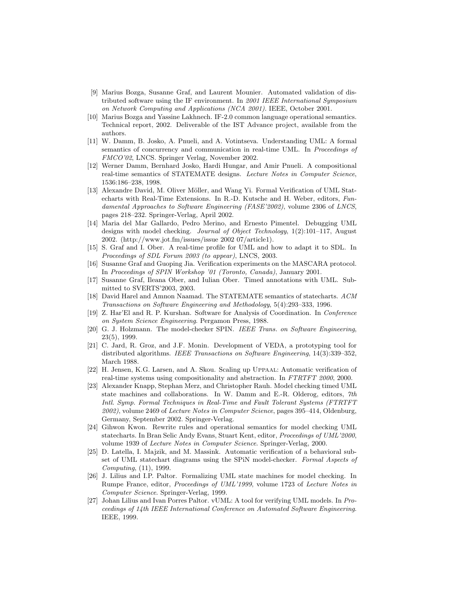- [9] Marius Bozga, Susanne Graf, and Laurent Mounier. Automated validation of distributed software using the IF environment. In 2001 IEEE International Symposium on Network Computing and Applications (NCA 2001). IEEE, October 2001.
- [10] Marius Bozga and Yassine Lakhnech. IF-2.0 common language operational semantics. Technical report, 2002. Deliverable of the IST Advance project, available from the authors.
- [11] W. Damm, B. Josko, A. Pnueli, and A. Votintseva. Understanding UML: A formal semantics of concurrency and communication in real-time UML. In Proceedings of FMCO'02, LNCS. Springer Verlag, November 2002.
- [12] Werner Damm, Bernhard Josko, Hardi Hungar, and Amir Pnueli. A compositional real-time semantics of STATEMATE designs. Lecture Notes in Computer Science, 1536:186–238, 1998.
- [13] Alexandre David, M. Oliver Möller, and Wang Yi. Formal Verification of UML Statecharts with Real-Time Extensions. In R.-D. Kutsche and H. Weber, editors, Fundamental Approaches to Software Engineering (FASE'2002), volume 2306 of LNCS, pages 218–232. Springer-Verlag, April 2002.
- [14] Maria del Mar Gallardo, Pedro Merino, and Ernesto Pimentel. Debugging UML designs with model checking. Journal of Object Technology, 1(2):101–117, August 2002. (http://www.jot.fm/issues/issue 2002 07/article1).
- [15] S. Graf and I. Ober. A real-time profile for UML and how to adapt it to SDL. In Proceedings of SDL Forum 2003 (to appear), LNCS, 2003.
- [16] Susanne Graf and Guoping Jia. Verification experiments on the MASCARA protocol. In Proceedings of SPIN Workshop '01 (Toronto, Canada), January 2001.
- [17] Susanne Graf, Ileana Ober, and Iulian Ober. Timed annotations with UML. Submitted to SVERTS'2003, 2003.
- [18] David Harel and Amnon Naamad. The STATEMATE semantics of statecharts. ACM Transactions on Software Engineering and Methodology, 5(4):293–333, 1996.
- [19] Z. Har'El and R. P. Kurshan. Software for Analysis of Coordination. In Conference on System Science Engineering. Pergamon Press, 1988.
- [20] G. J. Holzmann. The model-checker SPIN. IEEE Trans. on Software Engineering, 23(5), 1999.
- [21] C. Jard, R. Groz, and J.F. Monin. Development of VEDA, a prototyping tool for distributed algorithms. IEEE Transactions on Software Engineering, 14(3):339–352, March 1988.
- [22] H. Jensen, K.G. Larsen, and A. Skou. Scaling up Uppaal: Automatic verification of real-time systems using compositionality and abstraction. In FTRTFT 2000, 2000.
- [23] Alexander Knapp, Stephan Merz, and Christopher Rauh. Model checking timed UML state machines and collaborations. In W. Damm and E.-R. Olderog, editors, 7th Intl. Symp. Formal Techniques in Real-Time and Fault Tolerant Systems (FTRTFT 2002), volume 2469 of Lecture Notes in Computer Science, pages 395–414, Oldenburg, Germany, September 2002. Springer-Verlag.
- [24] Gihwon Kwon. Rewrite rules and operational semantics for model checking UML statecharts. In Bran Selic Andy Evans, Stuart Kent, editor, Proceedings of UML'2000, volume 1939 of Lecture Notes in Computer Science. Springer-Verlag, 2000.
- [25] D. Latella, I. Majzik, and M. Massink. Automatic verification of a behavioral subset of UML statechart diagrams using the SPiN model-checker. Formal Aspects of Computing, (11), 1999.
- [26] J. Lilius and I.P. Paltor. Formalizing UML state machines for model checking. In Rumpe France, editor, Proceedings of UML'1999, volume 1723 of Lecture Notes in Computer Science. Springer-Verlag, 1999.
- [27] Johan Lilius and Ivan Porres Paltor. vUML: A tool for verifying UML models. In Proceedings of 14th IEEE International Conference on Automated Software Engineering. IEEE, 1999.